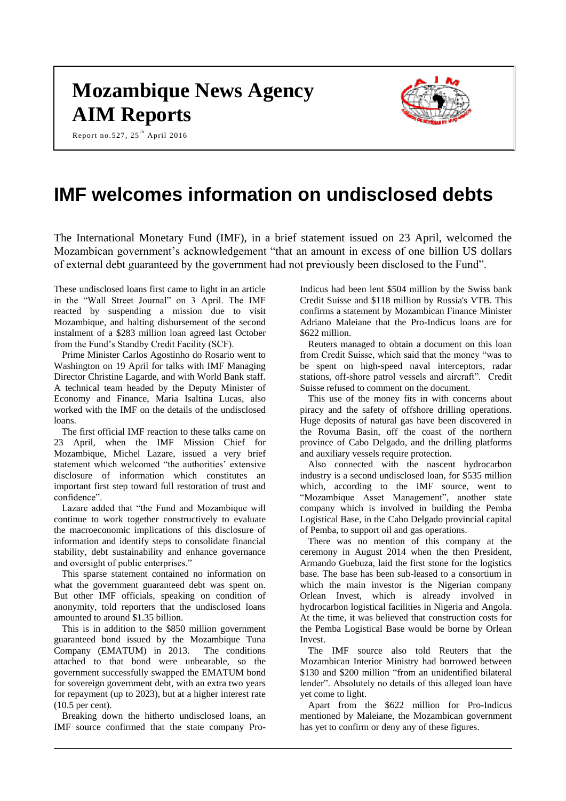# **Mozambique News Agency AIM Reports**

Report no.527, 25 $^{\text{th}}$  April 2016

# **IMF welcomes information on undisclosed debts**

The International Monetary Fund (IMF), in a brief statement issued on 23 April, welcomed the Mozambican government's acknowledgement "that an amount in excess of one billion US dollars of external debt guaranteed by the government had not previously been disclosed to the Fund".

These undisclosed loans first came to light in an article in the "Wall Street Journal" on 3 April. The IMF reacted by suspending a mission due to visit Mozambique, and halting disbursement of the second instalment of a \$283 million loan agreed last October from the Fund's Standby Credit Facility (SCF).

Prime Minister Carlos Agostinho do Rosario went to Washington on 19 April for talks with IMF Managing Director Christine Lagarde, and with World Bank staff. A technical team headed by the Deputy Minister of Economy and Finance, Maria Isaltina Lucas, also worked with the IMF on the details of the undisclosed loans.

The first official IMF reaction to these talks came on 23 April, when the IMF Mission Chief for Mozambique, Michel Lazare, issued a very brief statement which welcomed "the authorities' extensive disclosure of information which constitutes an important first step toward full restoration of trust and confidence".

Lazare added that "the Fund and Mozambique will continue to work together constructively to evaluate the macroeconomic implications of this disclosure of information and identify steps to consolidate financial stability, debt sustainability and enhance governance and oversight of public enterprises."

This sparse statement contained no information on what the government guaranteed debt was spent on. But other IMF officials, speaking on condition of anonymity, told reporters that the undisclosed loans amounted to around \$1.35 billion.

This is in addition to the \$850 million government guaranteed bond issued by the Mozambique Tuna Company (EMATUM) in 2013. The conditions attached to that bond were unbearable, so the government successfully swapped the EMATUM bond for sovereign government debt, with an extra two years for repayment (up to 2023), but at a higher interest rate (10.5 per cent).

Breaking down the hitherto undisclosed loans, an IMF source confirmed that the state company ProIndicus had been lent \$504 million by the Swiss bank Credit Suisse and \$118 million by Russia's VTB. This confirms a statement by Mozambican Finance Minister Adriano Maleiane that the Pro-Indicus loans are for \$622 million.

Reuters managed to obtain a document on this loan from Credit Suisse, which said that the money "was to be spent on high-speed naval interceptors, radar stations, off-shore patrol vessels and aircraft". Credit Suisse refused to comment on the document.

This use of the money fits in with concerns about piracy and the safety of offshore drilling operations. Huge deposits of natural gas have been discovered in the Rovuma Basin, off the coast of the northern province of Cabo Delgado, and the drilling platforms and auxiliary vessels require protection.

Also connected with the nascent hydrocarbon industry is a second undisclosed loan, for \$535 million which, according to the IMF source, went to "Mozambique Asset Management", another state company which is involved in building the Pemba Logistical Base, in the Cabo Delgado provincial capital of Pemba, to support oil and gas operations.

There was no mention of this company at the ceremony in August 2014 when the then President, Armando Guebuza, laid the first stone for the logistics base. The base has been sub-leased to a consortium in which the main investor is the Nigerian company Orlean Invest, which is already involved in hydrocarbon logistical facilities in Nigeria and Angola. At the time, it was believed that construction costs for the Pemba Logistical Base would be borne by Orlean Invest.

The IMF source also told Reuters that the Mozambican Interior Ministry had borrowed between \$130 and \$200 million "from an unidentified bilateral lender". Absolutely no details of this alleged loan have yet come to light.

Apart from the \$622 million for Pro-Indicus mentioned by Maleiane, the Mozambican government has yet to confirm or deny any of these figures.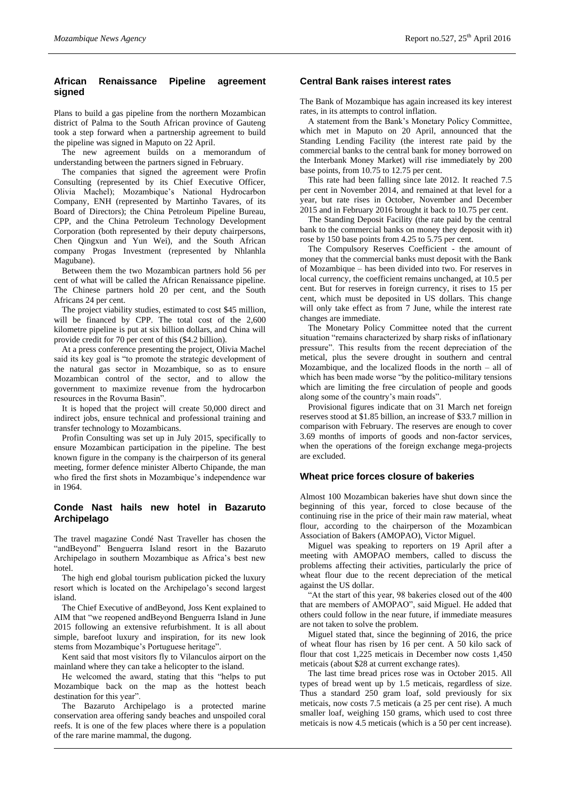# **African Renaissance Pipeline agreement signed**

Plans to build a gas pipeline from the northern Mozambican district of Palma to the South African province of Gauteng took a step forward when a partnership agreement to build the pipeline was signed in Maputo on 22 April.

The new agreement builds on a memorandum of understanding between the partners signed in February.

The companies that signed the agreement were Profin Consulting (represented by its Chief Executive Officer, Olivia Machel); Mozambique's National Hydrocarbon Company, ENH (represented by Martinho Tavares, of its Board of Directors); the China Petroleum Pipeline Bureau, CPP, and the China Petroleum Technology Development Corporation (both represented by their deputy chairpersons, Chen Qingxun and Yun Wei), and the South African company Progas Investment (represented by Nhlanhla Magubane).

Between them the two Mozambican partners hold 56 per cent of what will be called the African Renaissance pipeline. The Chinese partners hold 20 per cent, and the South Africans 24 per cent.

The project viability studies, estimated to cost \$45 million, will be financed by CPP. The total cost of the 2,600 kilometre pipeline is put at six billion dollars, and China will provide credit for 70 per cent of this (\$4.2 billion).

At a press conference presenting the project, Olivia Machel said its key goal is "to promote the strategic development of the natural gas sector in Mozambique, so as to ensure Mozambican control of the sector, and to allow the government to maximize revenue from the hydrocarbon resources in the Rovuma Basin".

It is hoped that the project will create 50,000 direct and indirect jobs, ensure technical and professional training and transfer technology to Mozambicans.

Profin Consulting was set up in July 2015, specifically to ensure Mozambican participation in the pipeline. The best known figure in the company is the chairperson of its general meeting, former defence minister Alberto Chipande, the man who fired the first shots in Mozambique's independence war in 1964.

# **Conde Nast hails new hotel in Bazaruto Archipelago**

The travel magazine Condé Nast Traveller has chosen the "andBeyond" Benguerra Island resort in the Bazaruto Archipelago in southern Mozambique as Africa's best new hotel.

The high end global tourism publication picked the luxury resort which is located on the Archipelago's second largest island.

The Chief Executive of andBeyond, Joss Kent explained to AIM that "we reopened andBeyond Benguerra Island in June 2015 following an extensive refurbishment. It is all about simple, barefoot luxury and inspiration, for its new look stems from Mozambique's Portuguese heritage".

Kent said that most visitors fly to Vilanculos airport on the mainland where they can take a helicopter to the island.

He welcomed the award, stating that this "helps to put Mozambique back on the map as the hottest beach destination for this year".

The Bazaruto Archipelago is a protected marine conservation area offering sandy beaches and unspoiled coral reefs. It is one of the few places where there is a population of the rare marine mammal, the dugong.

# **Central Bank raises interest rates**

The Bank of Mozambique has again increased its key interest rates, in its attempts to control inflation.

A statement from the Bank's Monetary Policy Committee, which met in Maputo on 20 April, announced that the Standing Lending Facility (the interest rate paid by the commercial banks to the central bank for money borrowed on the Interbank Money Market) will rise immediately by 200 base points, from 10.75 to 12.75 per cent.

This rate had been falling since late 2012. It reached 7.5 per cent in November 2014, and remained at that level for a year, but rate rises in October, November and December 2015 and in February 2016 brought it back to 10.75 per cent.

The Standing Deposit Facility (the rate paid by the central bank to the commercial banks on money they deposit with it) rose by 150 base points from 4.25 to 5.75 per cent.

The Compulsory Reserves Coefficient - the amount of money that the commercial banks must deposit with the Bank of Mozambique – has been divided into two. For reserves in local currency, the coefficient remains unchanged, at 10.5 per cent. But for reserves in foreign currency, it rises to 15 per cent, which must be deposited in US dollars. This change will only take effect as from 7 June, while the interest rate changes are immediate.

The Monetary Policy Committee noted that the current situation "remains characterized by sharp risks of inflationary pressure". This results from the recent depreciation of the metical, plus the severe drought in southern and central Mozambique, and the localized floods in the north – all of which has been made worse "by the politico-military tensions which are limiting the free circulation of people and goods along some of the country's main roads".

Provisional figures indicate that on 31 March net foreign reserves stood at \$1.85 billion, an increase of \$33.7 million in comparison with February. The reserves are enough to cover 3.69 months of imports of goods and non-factor services, when the operations of the foreign exchange mega-projects are excluded.

# **Wheat price forces closure of bakeries**

Almost 100 Mozambican bakeries have shut down since the beginning of this year, forced to close because of the continuing rise in the price of their main raw material, wheat flour, according to the chairperson of the Mozambican Association of Bakers (AMOPAO), Victor Miguel.

Miguel was speaking to reporters on 19 April after a meeting with AMOPAO members, called to discuss the problems affecting their activities, particularly the price of wheat flour due to the recent depreciation of the metical against the US dollar.

"At the start of this year, 98 bakeries closed out of the 400 that are members of AMOPAO", said Miguel. He added that others could follow in the near future, if immediate measures are not taken to solve the problem.

Miguel stated that, since the beginning of 2016, the price of wheat flour has risen by 16 per cent. A 50 kilo sack of flour that cost 1,225 meticais in December now costs 1,450 meticais (about \$28 at current exchange rates).

The last time bread prices rose was in October 2015. All types of bread went up by 1.5 meticais, regardless of size. Thus a standard 250 gram loaf, sold previously for six meticais, now costs 7.5 meticais (a 25 per cent rise). A much smaller loaf, weighing 150 grams, which used to cost three meticais is now 4.5 meticais (which is a 50 per cent increase).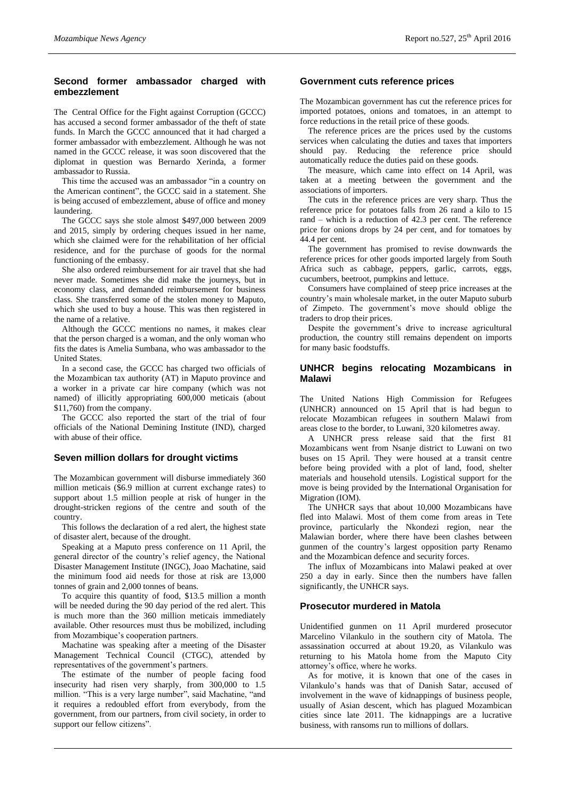## **Second former ambassador charged with embezzlement**

The Central Office for the Fight against Corruption (GCCC) has accused a second former ambassador of the theft of state funds. In March the GCCC announced that it had charged a former ambassador with embezzlement. Although he was not named in the GCCC release, it was soon discovered that the diplomat in question was Bernardo Xerinda, a former ambassador to Russia.

This time the accused was an ambassador "in a country on the American continent", the GCCC said in a statement. She is being accused of embezzlement, abuse of office and money laundering.

The GCCC says she stole almost \$497,000 between 2009 and 2015, simply by ordering cheques issued in her name, which she claimed were for the rehabilitation of her official residence, and for the purchase of goods for the normal functioning of the embassy.

She also ordered reimbursement for air travel that she had never made. Sometimes she did make the journeys, but in economy class, and demanded reimbursement for business class. She transferred some of the stolen money to Maputo, which she used to buy a house. This was then registered in the name of a relative.

Although the GCCC mentions no names, it makes clear that the person charged is a woman, and the only woman who fits the dates is Amelia Sumbana, who was ambassador to the United States.

In a second case, the GCCC has charged two officials of the Mozambican tax authority (AT) in Maputo province and a worker in a private car hire company (which was not named) of illicitly appropriating 600,000 meticais (about \$11,760) from the company.

The GCCC also reported the start of the trial of four officials of the National Demining Institute (IND), charged with abuse of their office.

# **Seven million dollars for drought victims**

The Mozambican government will disburse immediately 360 million meticais (\$6.9 million at current exchange rates) to support about 1.5 million people at risk of hunger in the drought-stricken regions of the centre and south of the country.

This follows the declaration of a red alert, the highest state of disaster alert, because of the drought.

Speaking at a Maputo press conference on 11 April, the general director of the country's relief agency, the National Disaster Management Institute (INGC), Joao Machatine, said the minimum food aid needs for those at risk are 13,000 tonnes of grain and 2,000 tonnes of beans.

To acquire this quantity of food, \$13.5 million a month will be needed during the 90 day period of the red alert. This is much more than the 360 million meticais immediately available. Other resources must thus be mobilized, including from Mozambique's cooperation partners.

Machatine was speaking after a meeting of the Disaster Management Technical Council (CTGC), attended by representatives of the government's partners.

The estimate of the number of people facing food insecurity had risen very sharply, from 300,000 to 1.5 million. "This is a very large number", said Machatine, "and it requires a redoubled effort from everybody, from the government, from our partners, from civil society, in order to support our fellow citizens".

#### **Government cuts reference prices**

The Mozambican government has cut the reference prices for imported potatoes, onions and tomatoes, in an attempt to force reductions in the retail price of these goods.

The reference prices are the prices used by the customs services when calculating the duties and taxes that importers should pay. Reducing the reference price should automatically reduce the duties paid on these goods.

The measure, which came into effect on 14 April, was taken at a meeting between the government and the associations of importers.

The cuts in the reference prices are very sharp. Thus the reference price for potatoes falls from 26 rand a kilo to 15 rand – which is a reduction of 42.3 per cent. The reference price for onions drops by 24 per cent, and for tomatoes by 44.4 per cent.

The government has promised to revise downwards the reference prices for other goods imported largely from South Africa such as cabbage, peppers, garlic, carrots, eggs, cucumbers, beetroot, pumpkins and lettuce.

Consumers have complained of steep price increases at the country's main wholesale market, in the outer Maputo suburb of Zimpeto. The government's move should oblige the traders to drop their prices.

Despite the government's drive to increase agricultural production, the country still remains dependent on imports for many basic foodstuffs.

#### **UNHCR begins relocating Mozambicans in Malawi**

The United Nations High Commission for Refugees (UNHCR) announced on 15 April that is had begun to relocate Mozambican refugees in southern Malawi from areas close to the border, to Luwani, 320 kilometres away.

A UNHCR press release said that the first 81 Mozambicans went from Nsanje district to Luwani on two buses on 15 April. They were housed at a transit centre before being provided with a plot of land, food, shelter materials and household utensils. Logistical support for the move is being provided by the International Organisation for Migration (IOM).

The UNHCR says that about 10,000 Mozambicans have fled into Malawi. Most of them come from areas in Tete province, particularly the Nkondezi region, near the Malawian border, where there have been clashes between gunmen of the country's largest opposition party Renamo and the Mozambican defence and security forces.

The influx of Mozambicans into Malawi peaked at over 250 a day in early. Since then the numbers have fallen significantly, the UNHCR says.

# **Prosecutor murdered in Matola**

Unidentified gunmen on 11 April murdered prosecutor Marcelino Vilankulo in the southern city of Matola. The assassination occurred at about 19.20, as Vilankulo was returning to his Matola home from the Maputo City attorney's office, where he works.

As for motive, it is known that one of the cases in Vilankulo's hands was that of Danish Satar, accused of involvement in the wave of kidnappings of business people, usually of Asian descent, which has plagued Mozambican cities since late 2011. The kidnappings are a lucrative business, with ransoms run to millions of dollars.